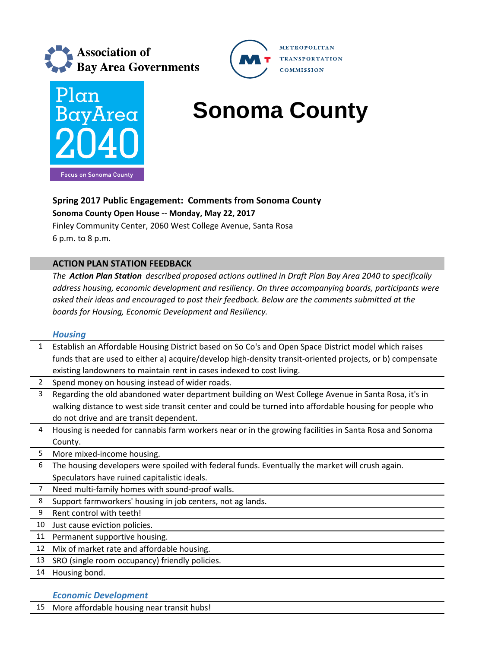



# **BayArea** Sonoma County

**METROPOLITAN** 

**COMMISSION** 

**TRANSPORTATION** 

## **Spring 2017 Public Engagement: Comments from Sonoma County**

**Sonoma County Open House ‐‐ Monday, May 22, 2017**

Finley Community Center, 2060 West College Avenue, Santa Rosa 6 p.m. to 8 p.m.

## **ACTION PLAN STATION FEEDBACK**

*The Action Plan Station described proposed actions outlined in Draft Plan Bay Area 2040 to specifically address housing, economic development and resiliency. On three accompanying boards, participants were asked their ideas and encouraged to post their feedback. Below are the comments submitted at the boards for Housing, Economic Development and Resiliency.*

### *Housing*

| 1              | Establish an Affordable Housing District based on So Co's and Open Space District model which raises      |
|----------------|-----------------------------------------------------------------------------------------------------------|
|                | funds that are used to either a) acquire/develop high-density transit-oriented projects, or b) compensate |
|                | existing landowners to maintain rent in cases indexed to cost living.                                     |
| $\overline{2}$ | Spend money on housing instead of wider roads.                                                            |
| 3              | Regarding the old abandoned water department building on West College Avenue in Santa Rosa, it's in       |
|                | walking distance to west side transit center and could be turned into affordable housing for people who   |
|                | do not drive and are transit dependent.                                                                   |
| 4              | Housing is needed for cannabis farm workers near or in the growing facilities in Santa Rosa and Sonoma    |
|                | County.                                                                                                   |
| 5              | More mixed-income housing.                                                                                |
| 6              | The housing developers were spoiled with federal funds. Eventually the market will crush again.           |
|                | Speculators have ruined capitalistic ideals.                                                              |
| 7              | Need multi-family homes with sound-proof walls.                                                           |
| 8              | Support farmworkers' housing in job centers, not ag lands.                                                |
| 9              | Rent control with teeth!                                                                                  |
| 10             | Just cause eviction policies.                                                                             |
| 11             | Permanent supportive housing.                                                                             |
| 12             | Mix of market rate and affordable housing.                                                                |
| 13             | SRO (single room occupancy) friendly policies.                                                            |
|                | .                                                                                                         |

14 Housing bond.

## *Economic Development*

15 More affordable housing near transit hubs!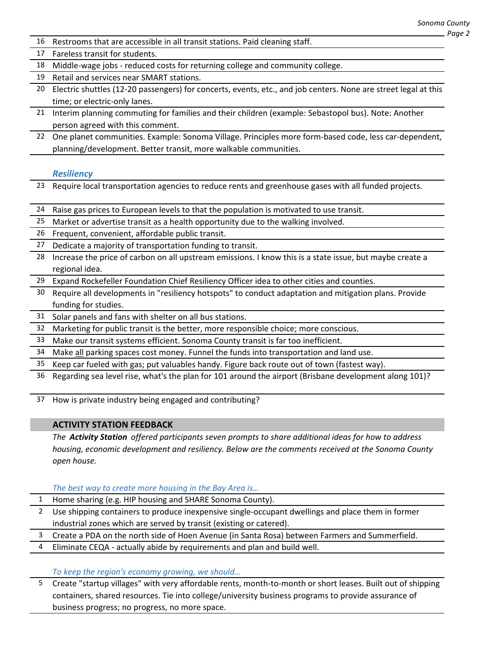- 16 Restrooms that are accessible in all transit stations. Paid cleaning staff.
- 17 Fareless transit for students.
- 18 Middle-wage jobs reduced costs for returning college and community college.
- 19 Retail and services near SMART stations.
- 20 Electric shuttles (12-20 passengers) for concerts, events, etc., and job centers. None are street legal at this time; or electric‐only lanes.
- 21 Interim planning commuting for families and their children (example: Sebastopol bus). Note: Another person agreed with this comment.
- 22 One planet communities. Example: Sonoma Village. Principles more form-based code, less car-dependent, planning/development. Better transit, more walkable communities.

#### *Resiliency*

- 23 Require local transportation agencies to reduce rents and greenhouse gases with all funded projects.
- 24 Raise gas prices to European levels to that the population is motivated to use transit.
- 25 Market or advertise transit as a health opportunity due to the walking involved.
- 26 Frequent, convenient, affordable public transit.
- 27 Dedicate a majority of transportation funding to transit.
- 28 Increase the price of carbon on all upstream emissions. I know this is a state issue, but maybe create a regional idea.
- 29 Expand Rockefeller Foundation Chief Resiliency Officer idea to other cities and counties.
- 30 Require all developments in "resiliency hotspots" to conduct adaptation and mitigation plans. Provide funding for studies.
- 31 Solar panels and fans with shelter on all bus stations.
- 32 Marketing for public transit is the better, more responsible choice; more conscious.
- 33 Make our transit systems efficient. Sonoma County transit is far too inefficient.
- 34 Make all parking spaces cost money. Funnel the funds into transportation and land use.
- 35 Keep car fueled with gas; put valuables handy. Figure back route out of town (fastest way).
- 36 Regarding sea level rise, what's the plan for 101 around the airport (Brisbane development along 101)?
- 37 How is private industry being engaged and contributing?

#### **ACTIVITY STATION FEEDBACK**

*The Activity Station offered participants seven prompts to share additional ideas for how to address housing, economic development and resiliency. Below are the comments received at the Sonoma County open house.*

*The best way to create more housing in the Bay Area is…*

- 1 Home sharing (e.g. HIP housing and SHARE Sonoma County).
- 2 Use shipping containers to produce inexpensive single-occupant dwellings and place them in former industrial zones which are served by transit (existing or catered).
- 3 Create a PDA on the north side of Hoen Avenue (in Santa Rosa) between Farmers and Summerfield.
- 4 Eliminate CEQA ‐ actually abide by requirements and plan and build well.

*To keep the region's economy growing, we should…*

5 Create "startup villages" with very affordable rents, month‐to‐month or short leases. Built out of shipping containers, shared resources. Tie into college/university business programs to provide assurance of business progress; no progress, no more space.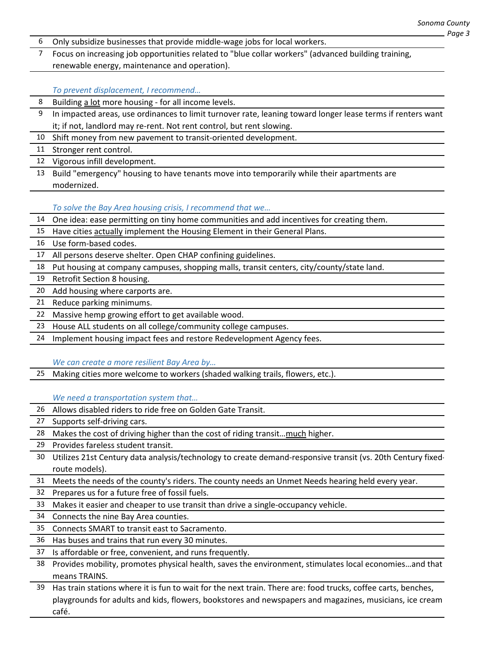- Only subsidize businesses that provide middle‐wage jobs for local workers.
- Focus on increasing job opportunities related to "blue collar workers" (advanced building training, renewable energy, maintenance and operation).

*To prevent displacement, I recommend…*

- Building a lot more housing ‐ for all income levels.
- In impacted areas, use ordinances to limit turnover rate, leaning toward longer lease terms if renters want it; if not, landlord may re-rent. Not rent control, but rent slowing.
- 10 Shift money from new pavement to transit-oriented development.
- Stronger rent control.
- Vigorous infill development.
- Build "emergency" housing to have tenants move into temporarily while their apartments are modernized.

*To solve the Bay Area housing crisis, I recommend that we…*

- One idea: ease permitting on tiny home communities and add incentives for creating them.
- 15 Have cities actually implement the Housing Element in their General Plans.
- Use form‐based codes.
- All persons deserve shelter. Open CHAP confining guidelines.
- Put housing at company campuses, shopping malls, transit centers, city/county/state land.
- Retrofit Section 8 housing.
- Add housing where carports are.
- Reduce parking minimums.
- Massive hemp growing effort to get available wood.
- House ALL students on all college/community college campuses.
- 24 Implement housing impact fees and restore Redevelopment Agency fees.

#### *We can create a more resilient Bay Area by…*

Making cities more welcome to workers (shaded walking trails, flowers, etc.).

*We need a transportation system that…*

- Allows disabled riders to ride free on Golden Gate Transit.
- Supports self‐driving cars.
- Makes the cost of driving higher than the cost of riding transit…much higher.
- Provides fareless student transit.
- Utilizes 21st Century data analysis/technology to create demand‐responsive transit (vs. 20th Century fixed‐ route models).
- Meets the needs of the county's riders. The county needs an Unmet Needs hearing held every year.
- Prepares us for a future free of fossil fuels.
- Makes it easier and cheaper to use transit than drive a single‐occupancy vehicle.
- Connects the nine Bay Area counties.
- Connects SMART to transit east to Sacramento.
- Has buses and trains that run every 30 minutes.
- Is affordable or free, convenient, and runs frequently.
- Provides mobility, promotes physical health, saves the environment, stimulates local economies…and that means TRAINS.
- Has train stations where it is fun to wait for the next train. There are: food trucks, coffee carts, benches, playgrounds for adults and kids, flowers, bookstores and newspapers and magazines, musicians, ice cream café.